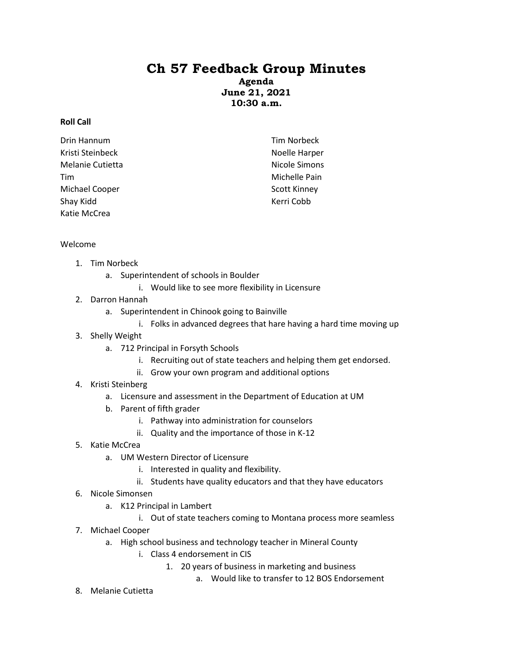## **Ch 57 Feedback Group Minutes**

**Agenda June 21, 2021 10:30 a.m.**

## **Roll Call**

| Drin Hannum      | Tim Norbeck         |
|------------------|---------------------|
| Kristi Steinbeck | Noelle Harper       |
| Melanie Cutietta | Nicole Simons       |
| Tim              | Michelle Pain       |
| Michael Cooper   | <b>Scott Kinney</b> |
| Shay Kidd        | Kerri Cobb          |
| Katie McCrea     |                     |

## Welcome

- 1. Tim Norbeck
	- a. Superintendent of schools in Boulder
		- i. Would like to see more flexibility in Licensure
- 2. Darron Hannah
	- a. Superintendent in Chinook going to Bainville
		- i. Folks in advanced degrees that hare having a hard time moving up
- 3. Shelly Weight
	- a. 712 Principal in Forsyth Schools
		- i. Recruiting out of state teachers and helping them get endorsed.
		- ii. Grow your own program and additional options
- 4. Kristi Steinberg
	- a. Licensure and assessment in the Department of Education at UM
	- b. Parent of fifth grader
		- i. Pathway into administration for counselors
		- ii. Quality and the importance of those in K-12
- 5. Katie McCrea
	- a. UM Western Director of Licensure
		- i. Interested in quality and flexibility.
		- ii. Students have quality educators and that they have educators
- 6. Nicole Simonsen
	- a. K12 Principal in Lambert
		- i. Out of state teachers coming to Montana process more seamless
- 7. Michael Cooper
	- a. High school business and technology teacher in Mineral County
		- i. Class 4 endorsement in CIS
			- 1. 20 years of business in marketing and business
				- a. Would like to transfer to 12 BOS Endorsement
- 8. Melanie Cutietta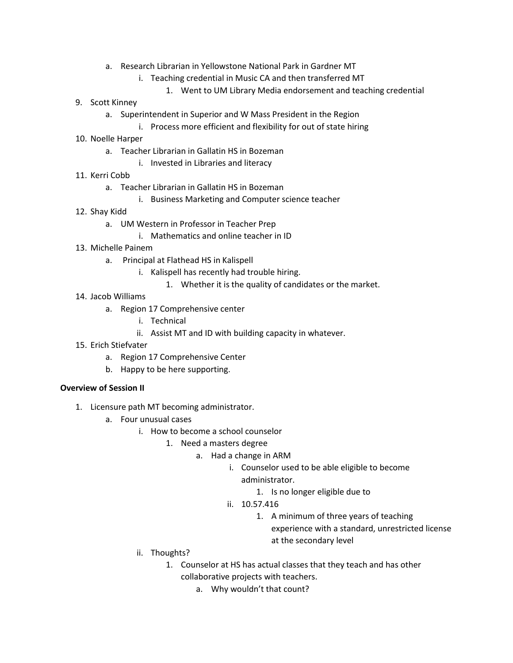- a. Research Librarian in Yellowstone National Park in Gardner MT
	- i. Teaching credential in Music CA and then transferred MT
		- 1. Went to UM Library Media endorsement and teaching credential
- 9. Scott Kinney
	- a. Superintendent in Superior and W Mass President in the Region
		- i. Process more efficient and flexibility for out of state hiring
- 10. Noelle Harper
	- a. Teacher Librarian in Gallatin HS in Bozeman
		- i. Invested in Libraries and literacy
- 11. Kerri Cobb
	- a. Teacher Librarian in Gallatin HS in Bozeman
		- i. Business Marketing and Computer science teacher
- 12. Shay Kidd
	- a. UM Western in Professor in Teacher Prep
		- i. Mathematics and online teacher in ID
- 13. Michelle Painem
	- a. Principal at Flathead HS in Kalispell
		- i. Kalispell has recently had trouble hiring.
			- 1. Whether it is the quality of candidates or the market.
- 14. Jacob Williams
	- a. Region 17 Comprehensive center
		- i. Technical
		- ii. Assist MT and ID with building capacity in whatever.
- 15. Erich Stiefvater
	- a. Region 17 Comprehensive Center
	- b. Happy to be here supporting.

## **Overview of Session II**

- 1. Licensure path MT becoming administrator.
	- a. Four unusual cases
		- i. How to become a school counselor
			- 1. Need a masters degree
				- a. Had a change in ARM
					- i. Counselor used to be able eligible to become administrator.
						- 1. Is no longer eligible due to
					- ii. 10.57.416
						- 1. A minimum of three years of teaching experience with a standard, unrestricted license at the secondary level
		- ii. Thoughts?
			- 1. Counselor at HS has actual classes that they teach and has other collaborative projects with teachers.
				- a. Why wouldn't that count?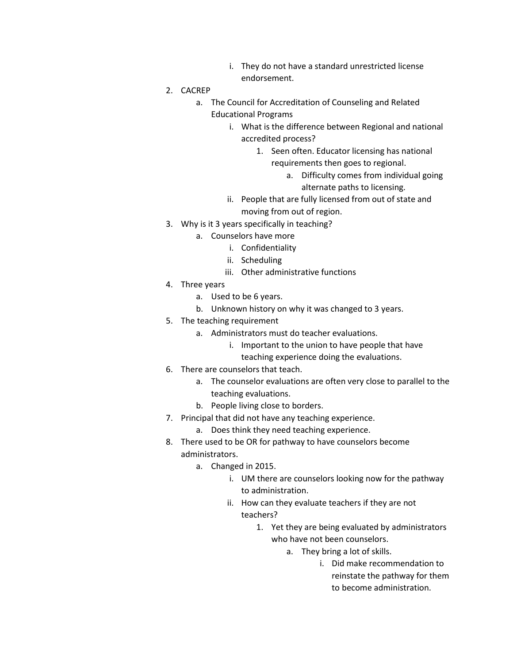- i. They do not have a standard unrestricted license endorsement.
- 2. CACREP
	- a. The Council for Accreditation of Counseling and Related Educational Programs
		- i. What is the difference between Regional and national accredited process?
			- 1. Seen often. Educator licensing has national requirements then goes to regional.
				- a. Difficulty comes from individual going alternate paths to licensing.
		- ii. People that are fully licensed from out of state and moving from out of region.
- 3. Why is it 3 years specifically in teaching?
	- a. Counselors have more
		- i. Confidentiality
		- ii. Scheduling
		- iii. Other administrative functions
- 4. Three years
	- a. Used to be 6 years.
	- b. Unknown history on why it was changed to 3 years.
- 5. The teaching requirement
	- a. Administrators must do teacher evaluations.
		- i. Important to the union to have people that have
		- teaching experience doing the evaluations.
- 6. There are counselors that teach.
	- a. The counselor evaluations are often very close to parallel to the teaching evaluations.
	- b. People living close to borders.
- 7. Principal that did not have any teaching experience.
	- a. Does think they need teaching experience.
- 8. There used to be OR for pathway to have counselors become administrators.
	- a. Changed in 2015.
		- i. UM there are counselors looking now for the pathway to administration.
		- ii. How can they evaluate teachers if they are not teachers?
			- 1. Yet they are being evaluated by administrators who have not been counselors.
				- a. They bring a lot of skills.
					- i. Did make recommendation to reinstate the pathway for them to become administration.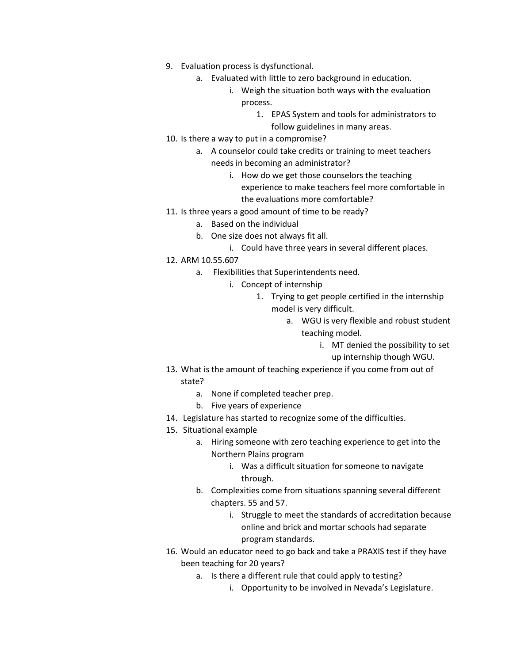- 9. Evaluation process is dysfunctional.
	- a. Evaluated with little to zero background in education.
		- i. Weigh the situation both ways with the evaluation process.
			- 1. EPAS System and tools for administrators to follow guidelines in many areas.
- 10. Is there a way to put in a compromise?
	- a. A counselor could take credits or training to meet teachers needs in becoming an administrator?
		- i. How do we get those counselors the teaching experience to make teachers feel more comfortable in the evaluations more comfortable?
- 11. Is three years a good amount of time to be ready?
	- a. Based on the individual
	- b. One size does not always fit all.
		- i. Could have three years in several different places.
- 12. ARM 10.55.607
	- a. Flexibilities that Superintendents need.
		- i. Concept of internship
			- 1. Trying to get people certified in the internship model is very difficult.
				- a. WGU is very flexible and robust student teaching model.
					- i. MT denied the possibility to set up internship though WGU.
- 13. What is the amount of teaching experience if you come from out of state?
	- a. None if completed teacher prep.
	- b. Five years of experience
- 14. Legislature has started to recognize some of the difficulties.
- 15. Situational example
	- a. Hiring someone with zero teaching experience to get into the Northern Plains program
		- i. Was a difficult situation for someone to navigate through.
	- b. Complexities come from situations spanning several different chapters. 55 and 57.
		- i. Struggle to meet the standards of accreditation because online and brick and mortar schools had separate program standards.
- 16. Would an educator need to go back and take a PRAXIS test if they have been teaching for 20 years?
	- a. Is there a different rule that could apply to testing?
		- i. Opportunity to be involved in Nevada's Legislature.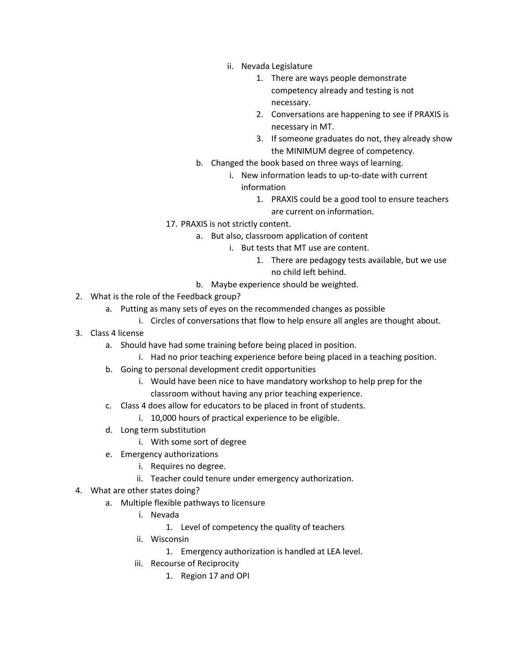- ii. Nevada Legislature
	- 1. There are ways people demonstrate competency already and testing is not necessary.
	- 2. Conversations are happening to see if PRAXIS is necessary in MT.
	- 3. If someone graduates do not, they already show the MINIMUM degree of competency.
- b. Changed the book based on three ways of learning.
	- i. New information leads to up-to-date with current information
		- 1. PRAXIS could be a good tool to ensure teachers are current on information.
- 17. PRAXIS is not strictly content.
	- a. But also, classroom application of content
		- i. But tests that MT use are content.
			- 1. There are pedagogy tests available, but we use no child left behind.
	- b. Maybe experience should be weighted.
- 2. What is the role of the Feedback group?
	- a. Putting as many sets of eyes on the recommended changes as possible
		- i. Circles of conversations that flow to help ensure all angles are thought about.
- 3. Class 4 license
	- a. Should have had some training before being placed in position.
		- i. Had no prior teaching experience before being placed in a teaching position.
	- b. Going to personal development credit opportunities
		- i. Would have been nice to have mandatory workshop to help prep for the classroom without having any prior teaching experience.
	- c. Class 4 does allow for educators to be placed in front of students.
		- i. 10,000 hours of practical experience to be eligible.
	- d. Long term substitution
		- i. With some sort of degree
	- e. Emergency authorizations
		- i. Requires no degree.
		- ii. Teacher could tenure under emergency authorization.
- 4. What are other states doing?
	- a. Multiple flexible pathways to licensure
		- i. Nevada
			- 1. Level of competency the quality of teachers
		- ii. Wisconsin
			- 1. Emergency authorization is handled at LEA level.
		- iii. Recourse of Reciprocity
			- 1. Region 17 and OPI